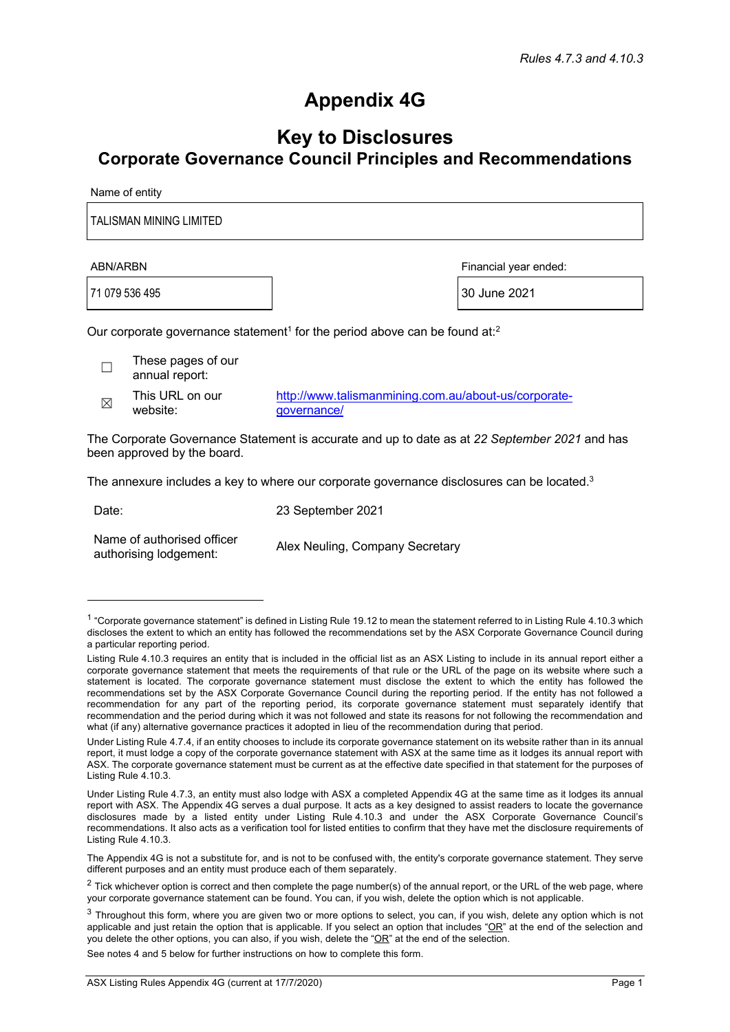## **Appendix 4G**

## **Key to Disclosures Corporate Governance Council Principles and Recommendations**

Name of entity

TALISMAN MINING LIMITED

ABN/ARBN Financial year ended:

71 079 536 495 30 June 2021

Our corporate governance statement<sup>1</sup> for the period above can be found at:<sup>2</sup>

 $\Box$  These pages of our annual report:

 $\mathbb{R}$  This URL on our website:

http://www.talismanmining.com.au/about-us/corporategovernance/

The Corporate Governance Statement is accurate and up to date as at *22 September 2021* and has been approved by the board.

The annexure includes a key to where our corporate governance disclosures can be located.<sup>3</sup>

Date: 23 September 2021

Name of authorised officer Inditie of authorised officer Alex Neuling, Company Secretary<br>authorising lodgement:

The Appendix 4G is not a substitute for, and is not to be confused with, the entity's corporate governance statement. They serve different purposes and an entity must produce each of them separately.

See notes 4 and 5 below for further instructions on how to complete this form.

<sup>&</sup>lt;sup>1</sup> "Corporate governance statement" is defined in Listing Rule 19.12 to mean the statement referred to in Listing Rule 4.10.3 which discloses the extent to which an entity has followed the recommendations set by the ASX Corporate Governance Council during a particular reporting period.

Listing Rule 4.10.3 requires an entity that is included in the official list as an ASX Listing to include in its annual report either a corporate governance statement that meets the requirements of that rule or the URL of the page on its website where such a statement is located. The corporate governance statement must disclose the extent to which the entity has followed the recommendations set by the ASX Corporate Governance Council during the reporting period. If the entity has not followed a recommendation for any part of the reporting period, its corporate governance statement must separately identify that recommendation and the period during which it was not followed and state its reasons for not following the recommendation and what (if any) alternative governance practices it adopted in lieu of the recommendation during that period.

Under Listing Rule 4.7.4, if an entity chooses to include its corporate governance statement on its website rather than in its annual report, it must lodge a copy of the corporate governance statement with ASX at the same time as it lodges its annual report with ASX. The corporate governance statement must be current as at the effective date specified in that statement for the purposes of Listing Rule 4.10.3.

Under Listing Rule 4.7.3, an entity must also lodge with ASX a completed Appendix 4G at the same time as it lodges its annual report with ASX. The Appendix 4G serves a dual purpose. It acts as a key designed to assist readers to locate the governance disclosures made by a listed entity under Listing Rule 4.10.3 and under the ASX Corporate Governance Council's recommendations. It also acts as a verification tool for listed entities to confirm that they have met the disclosure requirements of Listing Rule 4.10.3.

 $2$  Tick whichever option is correct and then complete the page number(s) of the annual report, or the URL of the web page, where your corporate governance statement can be found. You can, if you wish, delete the option which is not applicable.

<sup>&</sup>lt;sup>3</sup> Throughout this form, where you are given two or more options to select, you can, if you wish, delete any option which is not applicable and just retain the option that is applicable. If you select an option that includes " $QR$ " at the end of the selection and you delete the other options, you can also, if you wish, delete the "OR" at the end of the selection.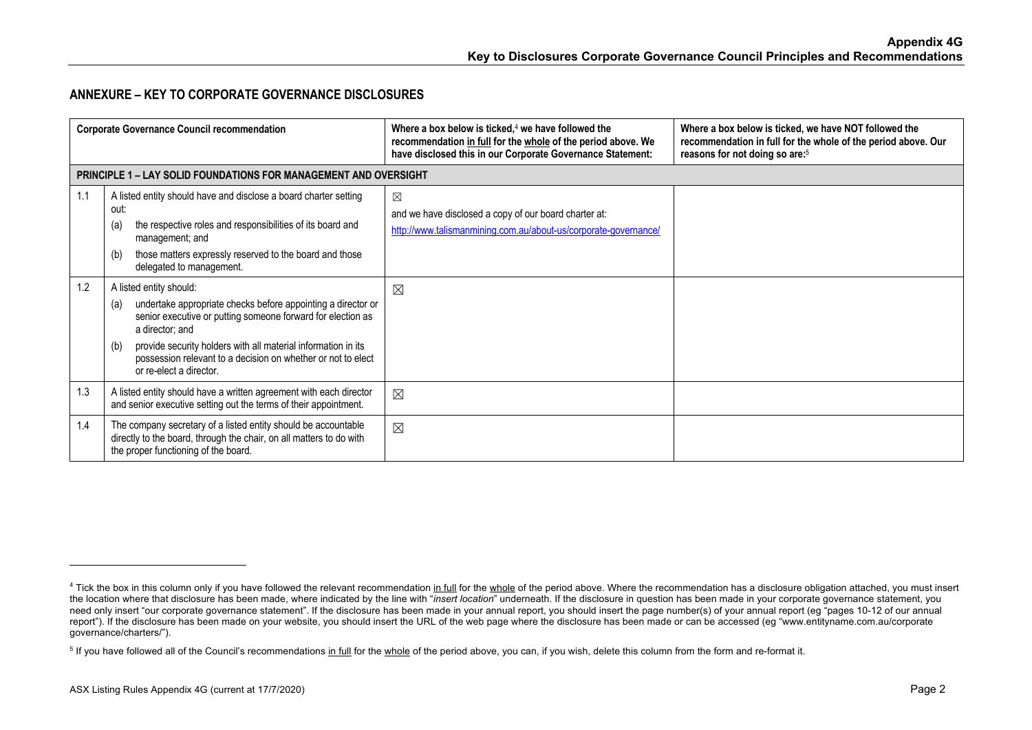## **ANNEXURE – KEY TO CORPORATE GOVERNANCE DISCLOSURES**

| <b>Corporate Governance Council recommendation</b> |                                                                                                                                                                                                                                                                                                                                                     | Where a box below is ticked, $4$ we have followed the<br>recommendation in full for the whole of the period above. We<br>have disclosed this in our Corporate Governance Statement: | Where a box below is ticked, we have NOT followed the<br>recommendation in full for the whole of the period above. Our<br>reasons for not doing so are: <sup>5</sup> |
|----------------------------------------------------|-----------------------------------------------------------------------------------------------------------------------------------------------------------------------------------------------------------------------------------------------------------------------------------------------------------------------------------------------------|-------------------------------------------------------------------------------------------------------------------------------------------------------------------------------------|----------------------------------------------------------------------------------------------------------------------------------------------------------------------|
|                                                    | <b>PRINCIPLE 1 – LAY SOLID FOUNDATIONS FOR MANAGEMENT AND OVERSIGHT</b>                                                                                                                                                                                                                                                                             |                                                                                                                                                                                     |                                                                                                                                                                      |
| 1.1                                                | A listed entity should have and disclose a board charter setting<br>out:<br>the respective roles and responsibilities of its board and<br>(a)<br>management; and<br>those matters expressly reserved to the board and those<br>(b)<br>delegated to management.                                                                                      | $\boxtimes$<br>and we have disclosed a copy of our board charter at:<br>http://www.talismanmining.com.au/about-us/corporate-governance/                                             |                                                                                                                                                                      |
| 1.2                                                | A listed entity should:<br>undertake appropriate checks before appointing a director or<br>(a)<br>senior executive or putting someone forward for election as<br>a director; and<br>provide security holders with all material information in its<br>(b)<br>possession relevant to a decision on whether or not to elect<br>or re-elect a director. | $\boxtimes$                                                                                                                                                                         |                                                                                                                                                                      |
| 1.3                                                | A listed entity should have a written agreement with each director<br>and senior executive setting out the terms of their appointment.                                                                                                                                                                                                              | $\boxtimes$                                                                                                                                                                         |                                                                                                                                                                      |
| 1.4                                                | The company secretary of a listed entity should be accountable<br>directly to the board, through the chair, on all matters to do with<br>the proper functioning of the board.                                                                                                                                                                       | $\boxtimes$                                                                                                                                                                         |                                                                                                                                                                      |

<sup>&</sup>lt;sup>4</sup> Tick the box in this column only if you have followed the relevant recommendation in full for the whole of the period above. Where the recommendation has a disclosure obligation attached, you must insert the location where that disclosure has been made, where indicated by the line with "*insert location*" underneath. If the disclosure in question has been made in your corporate governance statement, you need only insert "our corporate governance statement". If the disclosure has been made in your annual report, you should insert the page number(s) of your annual report (eg "pages 10-12 of our annual report"). If the disclosure has been made on your website, you should insert the URL of the web page where the disclosure has been made or can be accessed (eg "www.entityname.com.au/corporate governance/charters/").

<sup>&</sup>lt;sup>5</sup> If you have followed all of the Council's recommendations in full for the whole of the period above, you can, if you wish, delete this column from the form and re-format it.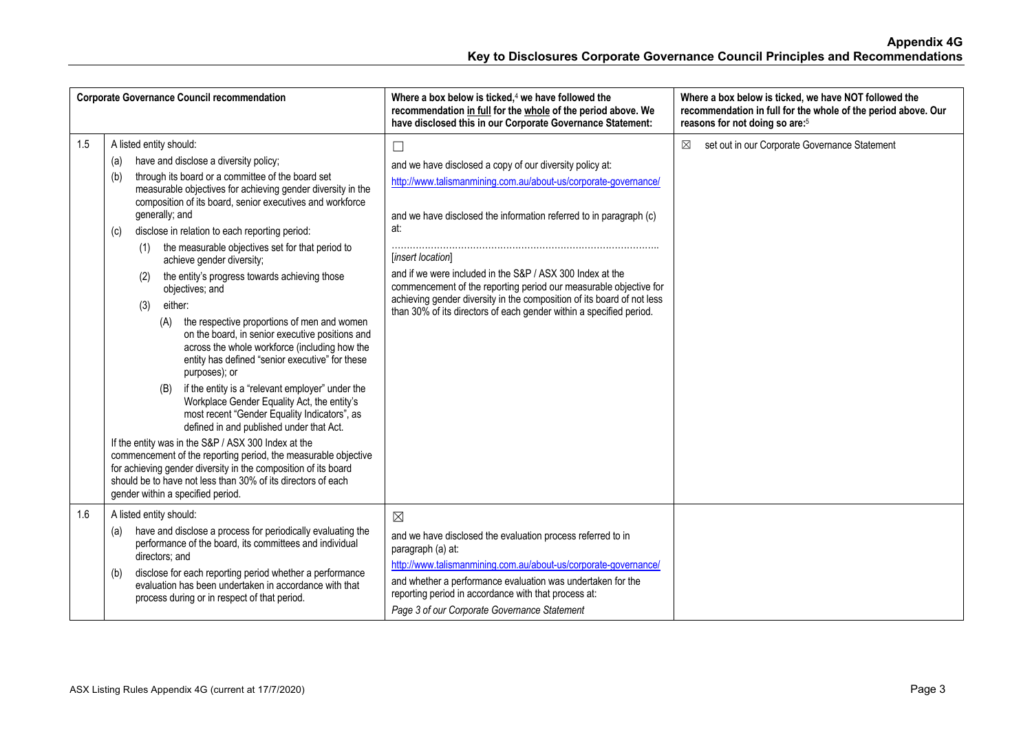|     | <b>Corporate Governance Council recommendation</b>                                                                                                                                                                                                                                                                                                                                                                                                                                                                                                                                                                                                                                                                                                                                                                                                                                                                                                                                                                                                                                                                                                                                                                                                                  | Where a box below is ticked, <sup>4</sup> we have followed the<br>recommendation in full for the whole of the period above. We<br>have disclosed this in our Corporate Governance Statement:                                                                                                                                                                                                                                                                                                                               | Where a box below is ticked, we have NOT followed the<br>recommendation in full for the whole of the period above. Our<br>reasons for not doing so are: <sup>5</sup> |
|-----|---------------------------------------------------------------------------------------------------------------------------------------------------------------------------------------------------------------------------------------------------------------------------------------------------------------------------------------------------------------------------------------------------------------------------------------------------------------------------------------------------------------------------------------------------------------------------------------------------------------------------------------------------------------------------------------------------------------------------------------------------------------------------------------------------------------------------------------------------------------------------------------------------------------------------------------------------------------------------------------------------------------------------------------------------------------------------------------------------------------------------------------------------------------------------------------------------------------------------------------------------------------------|----------------------------------------------------------------------------------------------------------------------------------------------------------------------------------------------------------------------------------------------------------------------------------------------------------------------------------------------------------------------------------------------------------------------------------------------------------------------------------------------------------------------------|----------------------------------------------------------------------------------------------------------------------------------------------------------------------|
| 1.5 | A listed entity should:<br>have and disclose a diversity policy;<br>(a)<br>through its board or a committee of the board set<br>(b)<br>measurable objectives for achieving gender diversity in the<br>composition of its board, senior executives and workforce<br>generally; and<br>disclose in relation to each reporting period:<br>(c)<br>the measurable objectives set for that period to<br>(1)<br>achieve gender diversity;<br>the entity's progress towards achieving those<br>(2)<br>objectives; and<br>either:<br>(3)<br>the respective proportions of men and women<br>(A)<br>on the board, in senior executive positions and<br>across the whole workforce (including how the<br>entity has defined "senior executive" for these<br>purposes); or<br>if the entity is a "relevant employer" under the<br>(B)<br>Workplace Gender Equality Act, the entity's<br>most recent "Gender Equality Indicators", as<br>defined in and published under that Act.<br>If the entity was in the S&P / ASX 300 Index at the<br>commencement of the reporting period, the measurable objective<br>for achieving gender diversity in the composition of its board<br>should be to have not less than 30% of its directors of each<br>gender within a specified period. | $\Box$<br>and we have disclosed a copy of our diversity policy at:<br>http://www.talismanmining.com.au/about-us/corporate-governance/<br>and we have disclosed the information referred to in paragraph (c)<br>at:<br>[insert location]<br>and if we were included in the S&P / ASX 300 Index at the<br>commencement of the reporting period our measurable objective for<br>achieving gender diversity in the composition of its board of not less<br>than 30% of its directors of each gender within a specified period. | set out in our Corporate Governance Statement<br>⊠                                                                                                                   |
| 1.6 | A listed entity should:<br>have and disclose a process for periodically evaluating the<br>(a)<br>performance of the board, its committees and individual<br>directors; and<br>disclose for each reporting period whether a performance<br>(b)<br>evaluation has been undertaken in accordance with that<br>process during or in respect of that period.                                                                                                                                                                                                                                                                                                                                                                                                                                                                                                                                                                                                                                                                                                                                                                                                                                                                                                             | $\boxtimes$<br>and we have disclosed the evaluation process referred to in<br>paragraph (a) at:<br>http://www.talismanmining.com.au/about-us/corporate-governance/<br>and whether a performance evaluation was undertaken for the<br>reporting period in accordance with that process at:<br>Page 3 of our Corporate Governance Statement                                                                                                                                                                                  |                                                                                                                                                                      |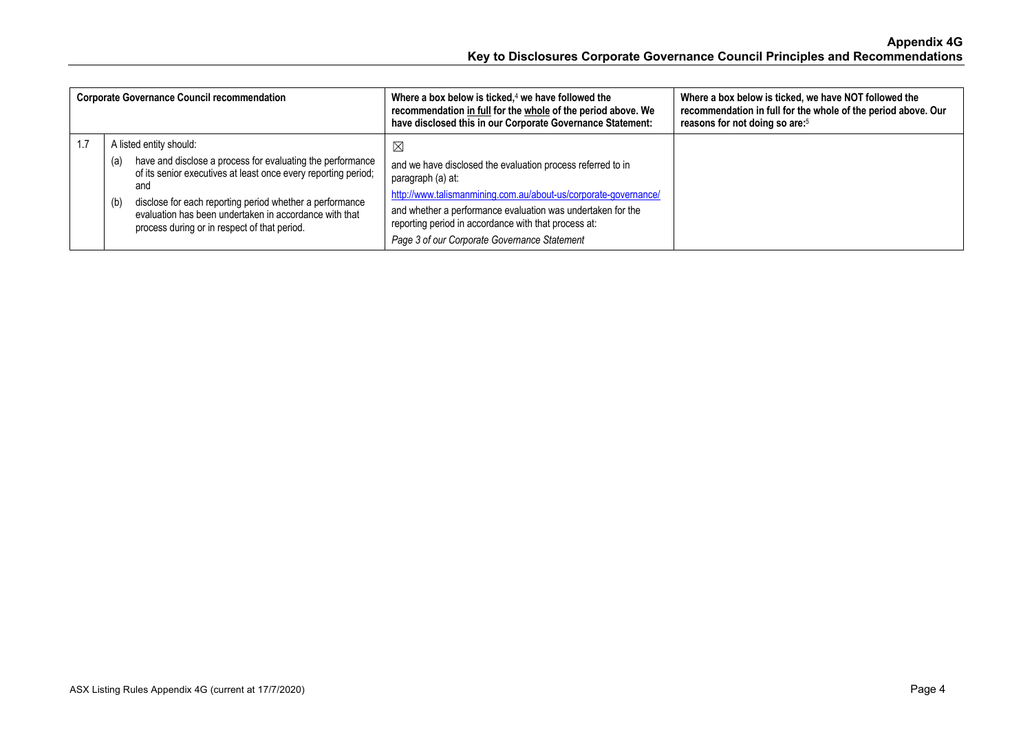| <b>Corporate Governance Council recommendation</b> |                                                                                                                                                                                                                                                                                                                                                    | Where a box below is ticked, $4$ we have followed the<br>recommendation in full for the whole of the period above. We<br>have disclosed this in our Corporate Governance Statement:                                                                                                                                             | Where a box below is ticked, we have NOT followed the<br>recommendation in full for the whole of the period above. Our<br>reasons for not doing so are: <sup>5</sup> |
|----------------------------------------------------|----------------------------------------------------------------------------------------------------------------------------------------------------------------------------------------------------------------------------------------------------------------------------------------------------------------------------------------------------|---------------------------------------------------------------------------------------------------------------------------------------------------------------------------------------------------------------------------------------------------------------------------------------------------------------------------------|----------------------------------------------------------------------------------------------------------------------------------------------------------------------|
|                                                    | A listed entity should:<br>have and disclose a process for evaluating the performance<br>(a)<br>of its senior executives at least once every reporting period;<br>and<br>disclose for each reporting period whether a performance<br>(b)<br>evaluation has been undertaken in accordance with that<br>process during or in respect of that period. | ⊠<br>and we have disclosed the evaluation process referred to in<br>paragraph (a) at:<br>http://www.talismanmining.com.au/about-us/corporate-governance/<br>and whether a performance evaluation was undertaken for the<br>reporting period in accordance with that process at:<br>Page 3 of our Corporate Governance Statement |                                                                                                                                                                      |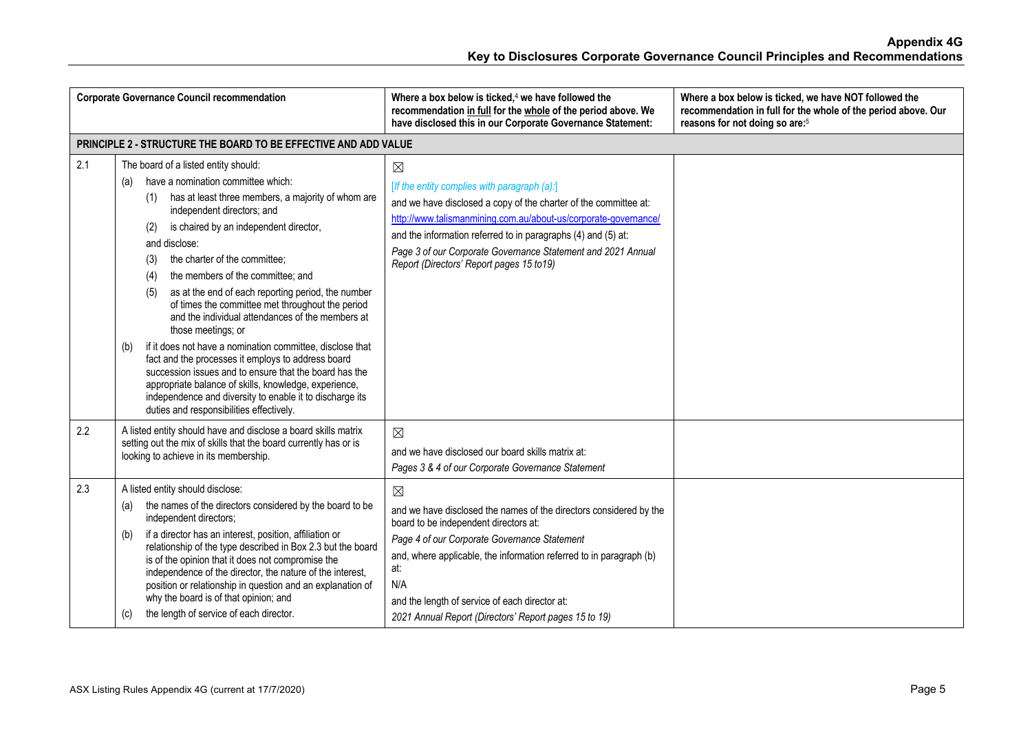| <b>Corporate Governance Council recommendation</b> |                                                                                                                                                                                                                                                                                                                                                                                                                                                                                                                                                                                                                                                                                                                                                                                                                                                                                    | Where a box below is ticked, <sup>4</sup> we have followed the<br>recommendation in full for the whole of the period above. We<br>have disclosed this in our Corporate Governance Statement:                                                                                                                                                                                     | Where a box below is ticked, we have NOT followed the<br>recommendation in full for the whole of the period above. Our<br>reasons for not doing so are: <sup>5</sup> |
|----------------------------------------------------|------------------------------------------------------------------------------------------------------------------------------------------------------------------------------------------------------------------------------------------------------------------------------------------------------------------------------------------------------------------------------------------------------------------------------------------------------------------------------------------------------------------------------------------------------------------------------------------------------------------------------------------------------------------------------------------------------------------------------------------------------------------------------------------------------------------------------------------------------------------------------------|----------------------------------------------------------------------------------------------------------------------------------------------------------------------------------------------------------------------------------------------------------------------------------------------------------------------------------------------------------------------------------|----------------------------------------------------------------------------------------------------------------------------------------------------------------------|
|                                                    | PRINCIPLE 2 - STRUCTURE THE BOARD TO BE EFFECTIVE AND ADD VALUE                                                                                                                                                                                                                                                                                                                                                                                                                                                                                                                                                                                                                                                                                                                                                                                                                    |                                                                                                                                                                                                                                                                                                                                                                                  |                                                                                                                                                                      |
| 2.1                                                | The board of a listed entity should:<br>have a nomination committee which:<br>(a)<br>has at least three members, a majority of whom are<br>(1)<br>independent directors; and<br>is chaired by an independent director,<br>(2)<br>and disclose:<br>the charter of the committee;<br>(3)<br>the members of the committee; and<br>(4)<br>as at the end of each reporting period, the number<br>(5)<br>of times the committee met throughout the period<br>and the individual attendances of the members at<br>those meetings; or<br>if it does not have a nomination committee, disclose that<br>(b)<br>fact and the processes it employs to address board<br>succession issues and to ensure that the board has the<br>appropriate balance of skills, knowledge, experience,<br>independence and diversity to enable it to discharge its<br>duties and responsibilities effectively. | $\boxtimes$<br>[If the entity complies with paragraph (a):]<br>and we have disclosed a copy of the charter of the committee at:<br>http://www.talismanmining.com.au/about-us/corporate-governance/<br>and the information referred to in paragraphs (4) and (5) at:<br>Page 3 of our Corporate Governance Statement and 2021 Annual<br>Report (Directors' Report pages 15 to 19) |                                                                                                                                                                      |
| 2.2                                                | A listed entity should have and disclose a board skills matrix<br>setting out the mix of skills that the board currently has or is<br>looking to achieve in its membership.                                                                                                                                                                                                                                                                                                                                                                                                                                                                                                                                                                                                                                                                                                        | $\boxtimes$<br>and we have disclosed our board skills matrix at:<br>Pages 3 & 4 of our Corporate Governance Statement                                                                                                                                                                                                                                                            |                                                                                                                                                                      |
| 2.3                                                | A listed entity should disclose:<br>the names of the directors considered by the board to be<br>(a)<br>independent directors;<br>if a director has an interest, position, affiliation or<br>(b)<br>relationship of the type described in Box 2.3 but the board<br>is of the opinion that it does not compromise the<br>independence of the director, the nature of the interest,<br>position or relationship in question and an explanation of<br>why the board is of that opinion; and<br>the length of service of each director.<br>(c)                                                                                                                                                                                                                                                                                                                                          | $\boxtimes$<br>and we have disclosed the names of the directors considered by the<br>board to be independent directors at:<br>Page 4 of our Corporate Governance Statement<br>and, where applicable, the information referred to in paragraph (b)<br>at:<br>N/A<br>and the length of service of each director at:<br>2021 Annual Report (Directors' Report pages 15 to 19)       |                                                                                                                                                                      |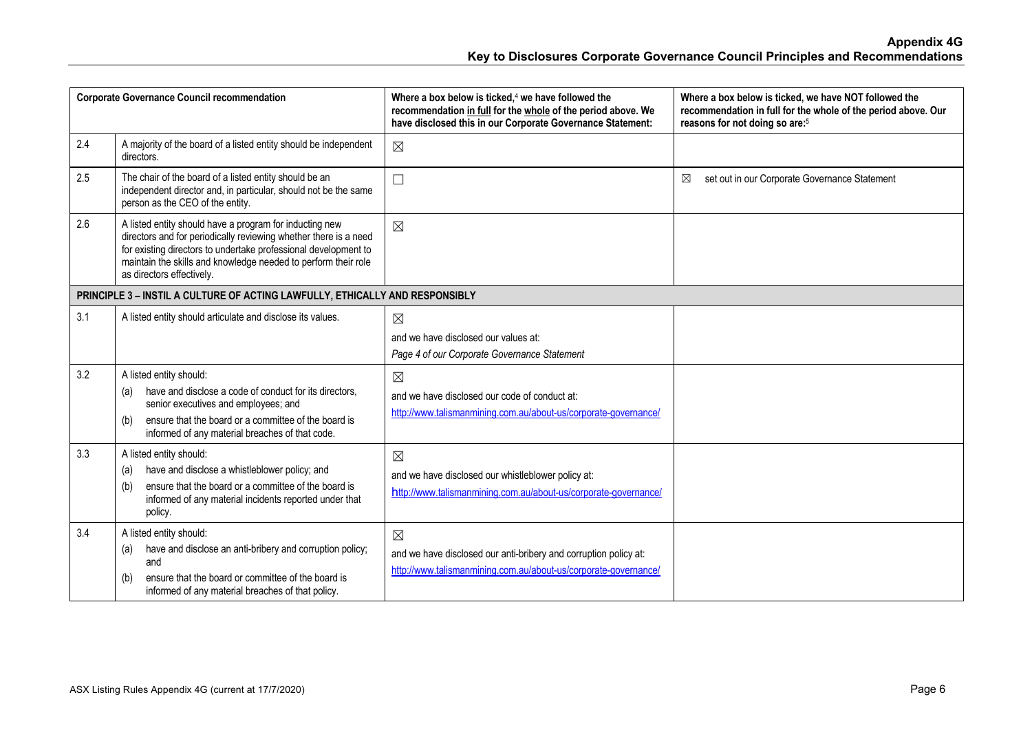| <b>Corporate Governance Council recommendation</b> |                                                                                                                                                                                                                                                                                               | Where a box below is ticked, <sup>4</sup> we have followed the<br>recommendation in full for the whole of the period above. We<br>have disclosed this in our Corporate Governance Statement: | Where a box below is ticked, we have NOT followed the<br>recommendation in full for the whole of the period above. Our<br>reasons for not doing so are: <sup>5</sup> |
|----------------------------------------------------|-----------------------------------------------------------------------------------------------------------------------------------------------------------------------------------------------------------------------------------------------------------------------------------------------|----------------------------------------------------------------------------------------------------------------------------------------------------------------------------------------------|----------------------------------------------------------------------------------------------------------------------------------------------------------------------|
| 2.4                                                | A majority of the board of a listed entity should be independent<br>directors.                                                                                                                                                                                                                | $\boxtimes$                                                                                                                                                                                  |                                                                                                                                                                      |
| 2.5                                                | The chair of the board of a listed entity should be an<br>independent director and, in particular, should not be the same<br>person as the CEO of the entity.                                                                                                                                 | $\Box$                                                                                                                                                                                       | set out in our Corporate Governance Statement<br>⊠                                                                                                                   |
| 2.6                                                | A listed entity should have a program for inducting new<br>directors and for periodically reviewing whether there is a need<br>for existing directors to undertake professional development to<br>maintain the skills and knowledge needed to perform their role<br>as directors effectively. | $\boxtimes$                                                                                                                                                                                  |                                                                                                                                                                      |
|                                                    | PRINCIPLE 3 - INSTIL A CULTURE OF ACTING LAWFULLY, ETHICALLY AND RESPONSIBLY                                                                                                                                                                                                                  |                                                                                                                                                                                              |                                                                                                                                                                      |
| 3.1                                                | A listed entity should articulate and disclose its values.                                                                                                                                                                                                                                    | $\boxtimes$<br>and we have disclosed our values at:<br>Page 4 of our Corporate Governance Statement                                                                                          |                                                                                                                                                                      |
| 3.2                                                | A listed entity should:<br>have and disclose a code of conduct for its directors.<br>(a)<br>senior executives and employees; and<br>ensure that the board or a committee of the board is<br>(b)<br>informed of any material breaches of that code.                                            | $\boxtimes$<br>and we have disclosed our code of conduct at:<br>http://www.talismanmining.com.au/about-us/corporate-governance/                                                              |                                                                                                                                                                      |
| 3.3                                                | A listed entity should:<br>have and disclose a whistleblower policy; and<br>(a)<br>ensure that the board or a committee of the board is<br>(b)<br>informed of any material incidents reported under that<br>policy.                                                                           | $\boxtimes$<br>and we have disclosed our whistleblower policy at:<br>http://www.talismanmining.com.au/about-us/corporate-governance/                                                         |                                                                                                                                                                      |
| 3.4                                                | A listed entity should:<br>have and disclose an anti-bribery and corruption policy;<br>(a)<br>and<br>ensure that the board or committee of the board is<br>(b)<br>informed of any material breaches of that policy.                                                                           | $\boxtimes$<br>and we have disclosed our anti-bribery and corruption policy at:<br>http://www.talismanmining.com.au/about-us/corporate-governance/                                           |                                                                                                                                                                      |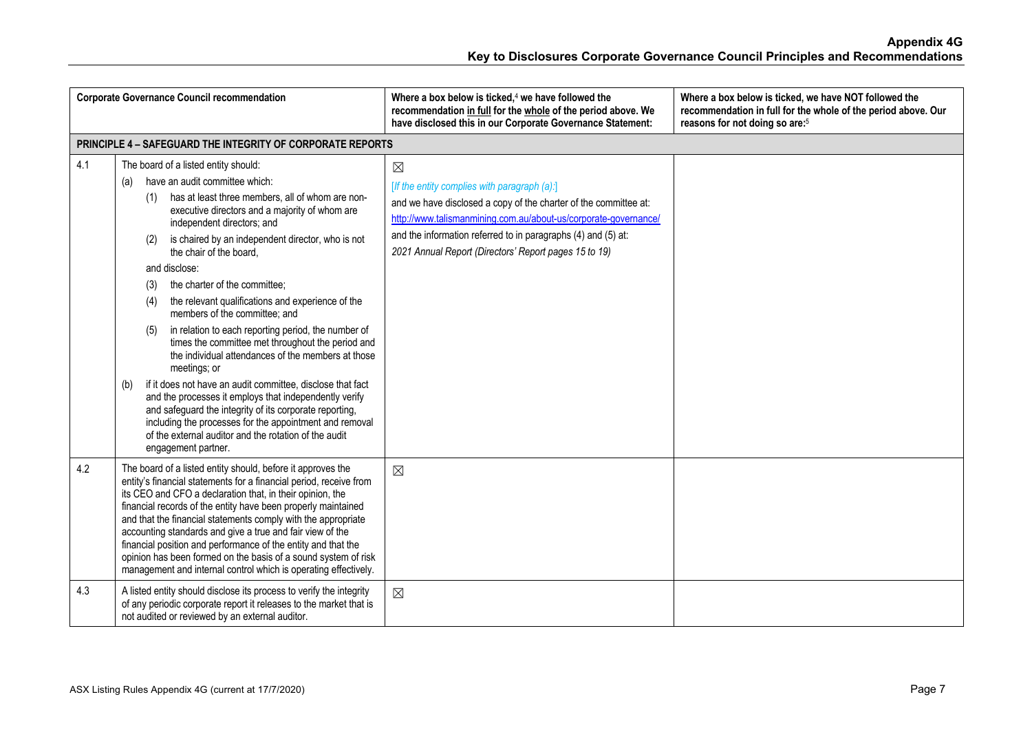|     | <b>Corporate Governance Council recommendation</b>                                                                                                                                                                                                                                                                                                                                                                                                                                                                                                                                                                                                                                                                                                                                                                                                                                                                                                                                                  | Where a box below is ticked, <sup>4</sup> we have followed the<br>recommendation in full for the whole of the period above. We<br>have disclosed this in our Corporate Governance Statement:                                                                                                                                 | Where a box below is ticked, we have NOT followed the<br>recommendation in full for the whole of the period above. Our<br>reasons for not doing so are: <sup>5</sup> |
|-----|-----------------------------------------------------------------------------------------------------------------------------------------------------------------------------------------------------------------------------------------------------------------------------------------------------------------------------------------------------------------------------------------------------------------------------------------------------------------------------------------------------------------------------------------------------------------------------------------------------------------------------------------------------------------------------------------------------------------------------------------------------------------------------------------------------------------------------------------------------------------------------------------------------------------------------------------------------------------------------------------------------|------------------------------------------------------------------------------------------------------------------------------------------------------------------------------------------------------------------------------------------------------------------------------------------------------------------------------|----------------------------------------------------------------------------------------------------------------------------------------------------------------------|
|     | <b>PRINCIPLE 4 - SAFEGUARD THE INTEGRITY OF CORPORATE REPORTS</b>                                                                                                                                                                                                                                                                                                                                                                                                                                                                                                                                                                                                                                                                                                                                                                                                                                                                                                                                   |                                                                                                                                                                                                                                                                                                                              |                                                                                                                                                                      |
| 4.1 | The board of a listed entity should:<br>have an audit committee which:<br>(a)<br>has at least three members, all of whom are non-<br>(1)<br>executive directors and a majority of whom are<br>independent directors; and<br>is chaired by an independent director, who is not<br>(2)<br>the chair of the board,<br>and disclose:<br>the charter of the committee;<br>(3)<br>the relevant qualifications and experience of the<br>(4)<br>members of the committee; and<br>in relation to each reporting period, the number of<br>(5)<br>times the committee met throughout the period and<br>the individual attendances of the members at those<br>meetings; or<br>if it does not have an audit committee, disclose that fact<br>(b)<br>and the processes it employs that independently verify<br>and safeguard the integrity of its corporate reporting,<br>including the processes for the appointment and removal<br>of the external auditor and the rotation of the audit<br>engagement partner. | $\boxtimes$<br>[If the entity complies with paragraph (a):]<br>and we have disclosed a copy of the charter of the committee at:<br>http://www.talismanmining.com.au/about-us/corporate-governance/<br>and the information referred to in paragraphs (4) and (5) at:<br>2021 Annual Report (Directors' Report pages 15 to 19) |                                                                                                                                                                      |
| 4.2 | The board of a listed entity should, before it approves the<br>entity's financial statements for a financial period, receive from<br>its CEO and CFO a declaration that, in their opinion, the<br>financial records of the entity have been properly maintained<br>and that the financial statements comply with the appropriate<br>accounting standards and give a true and fair view of the<br>financial position and performance of the entity and that the<br>opinion has been formed on the basis of a sound system of risk<br>management and internal control which is operating effectively.                                                                                                                                                                                                                                                                                                                                                                                                 | $\boxtimes$                                                                                                                                                                                                                                                                                                                  |                                                                                                                                                                      |
| 4.3 | A listed entity should disclose its process to verify the integrity<br>of any periodic corporate report it releases to the market that is<br>not audited or reviewed by an external auditor.                                                                                                                                                                                                                                                                                                                                                                                                                                                                                                                                                                                                                                                                                                                                                                                                        | $\boxtimes$                                                                                                                                                                                                                                                                                                                  |                                                                                                                                                                      |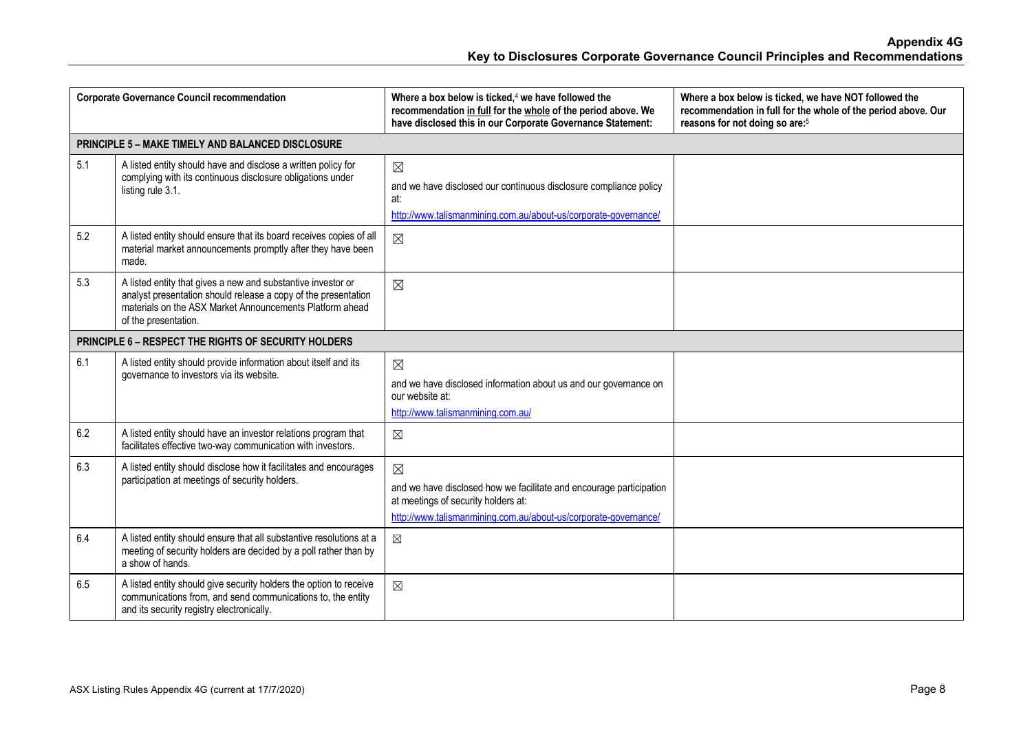| <b>Corporate Governance Council recommendation</b>   |                                                                                                                                                                                                                    | Where a box below is ticked, <sup>4</sup> we have followed the<br>recommendation in full for the whole of the period above. We<br>have disclosed this in our Corporate Governance Statement: | Where a box below is ticked, we have NOT followed the<br>recommendation in full for the whole of the period above. Our<br>reasons for not doing so are: <sup>5</sup> |
|------------------------------------------------------|--------------------------------------------------------------------------------------------------------------------------------------------------------------------------------------------------------------------|----------------------------------------------------------------------------------------------------------------------------------------------------------------------------------------------|----------------------------------------------------------------------------------------------------------------------------------------------------------------------|
|                                                      | <b>PRINCIPLE 5 - MAKE TIMELY AND BALANCED DISCLOSURE</b>                                                                                                                                                           |                                                                                                                                                                                              |                                                                                                                                                                      |
| 5.1                                                  | A listed entity should have and disclose a written policy for<br>complying with its continuous disclosure obligations under<br>listing rule 3.1.                                                                   | $\boxtimes$<br>and we have disclosed our continuous disclosure compliance policy<br>at:<br>http://www.talismanmining.com.au/about-us/corporate-governance/                                   |                                                                                                                                                                      |
| 5.2                                                  | A listed entity should ensure that its board receives copies of all<br>material market announcements promptly after they have been<br>made.                                                                        | $\boxtimes$                                                                                                                                                                                  |                                                                                                                                                                      |
| 5.3                                                  | A listed entity that gives a new and substantive investor or<br>analyst presentation should release a copy of the presentation<br>materials on the ASX Market Announcements Platform ahead<br>of the presentation. | $\boxtimes$                                                                                                                                                                                  |                                                                                                                                                                      |
| PRINCIPLE 6 - RESPECT THE RIGHTS OF SECURITY HOLDERS |                                                                                                                                                                                                                    |                                                                                                                                                                                              |                                                                                                                                                                      |
| 6.1                                                  | A listed entity should provide information about itself and its<br>governance to investors via its website.                                                                                                        | $\boxtimes$<br>and we have disclosed information about us and our governance on<br>our website at:<br>http://www.talismanmining.com.au/                                                      |                                                                                                                                                                      |
| 6.2                                                  | A listed entity should have an investor relations program that<br>facilitates effective two-way communication with investors.                                                                                      | $\boxtimes$                                                                                                                                                                                  |                                                                                                                                                                      |
| 6.3                                                  | A listed entity should disclose how it facilitates and encourages<br>participation at meetings of security holders.                                                                                                | $\boxtimes$<br>and we have disclosed how we facilitate and encourage participation<br>at meetings of security holders at:<br>http://www.talismanmining.com.au/about-us/corporate-governance/ |                                                                                                                                                                      |
| 6.4                                                  | A listed entity should ensure that all substantive resolutions at a<br>meeting of security holders are decided by a poll rather than by<br>a show of hands.                                                        | $\boxtimes$                                                                                                                                                                                  |                                                                                                                                                                      |
| 6.5                                                  | A listed entity should give security holders the option to receive<br>communications from, and send communications to, the entity<br>and its security registry electronically.                                     | $\boxtimes$                                                                                                                                                                                  |                                                                                                                                                                      |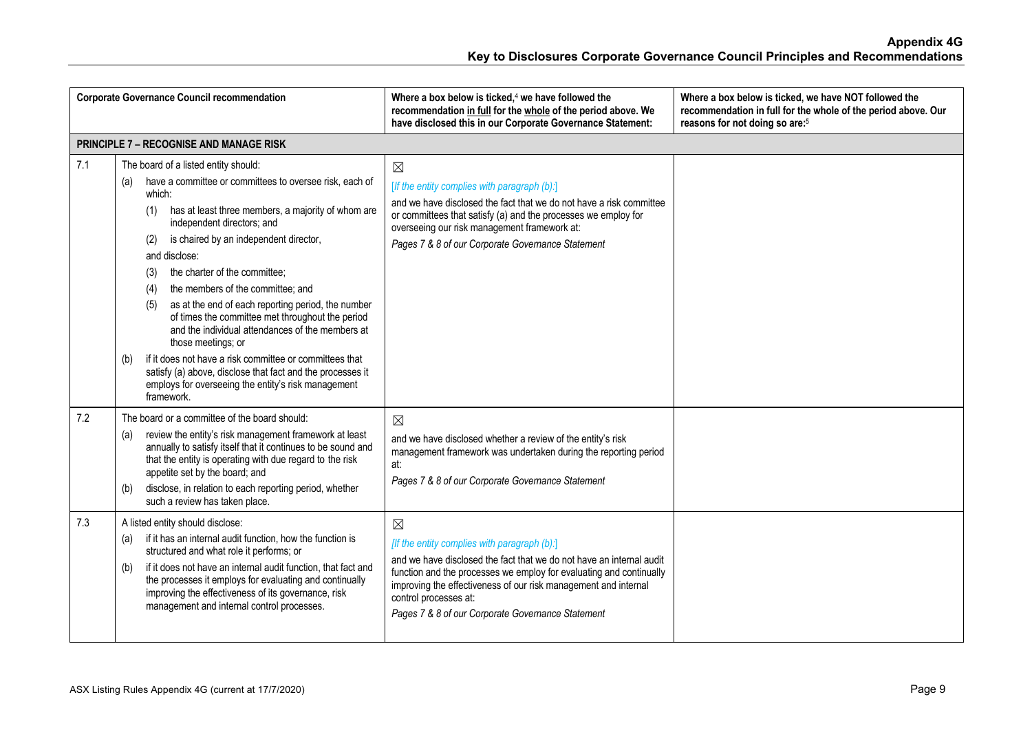| <b>Corporate Governance Council recommendation</b> |                                                                                                                                                                                                                                                                                                                                                                                                                                                                                                                                                                                                                                                                                                                                                                              | Where a box below is ticked, <sup>4</sup> we have followed the<br>recommendation in full for the whole of the period above. We<br>have disclosed this in our Corporate Governance Statement:                                                                                                                                                                                                                                                                                                                                                                             | Where a box below is ticked, we have NOT followed the<br>recommendation in full for the whole of the period above. Our<br>reasons for not doing so are: <sup>5</sup> |
|----------------------------------------------------|------------------------------------------------------------------------------------------------------------------------------------------------------------------------------------------------------------------------------------------------------------------------------------------------------------------------------------------------------------------------------------------------------------------------------------------------------------------------------------------------------------------------------------------------------------------------------------------------------------------------------------------------------------------------------------------------------------------------------------------------------------------------------|--------------------------------------------------------------------------------------------------------------------------------------------------------------------------------------------------------------------------------------------------------------------------------------------------------------------------------------------------------------------------------------------------------------------------------------------------------------------------------------------------------------------------------------------------------------------------|----------------------------------------------------------------------------------------------------------------------------------------------------------------------|
|                                                    | <b>PRINCIPLE 7 - RECOGNISE AND MANAGE RISK</b>                                                                                                                                                                                                                                                                                                                                                                                                                                                                                                                                                                                                                                                                                                                               |                                                                                                                                                                                                                                                                                                                                                                                                                                                                                                                                                                          |                                                                                                                                                                      |
| 7.1                                                | The board of a listed entity should:<br>have a committee or committees to oversee risk, each of<br>(a)<br>which:<br>has at least three members, a majority of whom are<br>(1)<br>independent directors; and<br>is chaired by an independent director,<br>(2)<br>and disclose:<br>the charter of the committee;<br>(3)<br>the members of the committee; and<br>(4)<br>as at the end of each reporting period, the number<br>(5)<br>of times the committee met throughout the period<br>and the individual attendances of the members at<br>those meetings; or<br>if it does not have a risk committee or committees that<br>(b)<br>satisfy (a) above, disclose that fact and the processes it<br>employs for overseeing the entity's risk management<br>framework.            | $\boxtimes$<br>[If the entity complies with paragraph (b):]<br>and we have disclosed the fact that we do not have a risk committee<br>or committees that satisfy (a) and the processes we employ for<br>overseeing our risk management framework at:<br>Pages 7 & 8 of our Corporate Governance Statement                                                                                                                                                                                                                                                                |                                                                                                                                                                      |
| 7.2<br>7.3                                         | The board or a committee of the board should:<br>review the entity's risk management framework at least<br>(a)<br>annually to satisfy itself that it continues to be sound and<br>that the entity is operating with due regard to the risk<br>appetite set by the board; and<br>disclose, in relation to each reporting period, whether<br>(b)<br>such a review has taken place.<br>A listed entity should disclose:<br>if it has an internal audit function, how the function is<br>(a)<br>structured and what role it performs; or<br>if it does not have an internal audit function, that fact and<br>(b)<br>the processes it employs for evaluating and continually<br>improving the effectiveness of its governance, risk<br>management and internal control processes. | $\boxtimes$<br>and we have disclosed whether a review of the entity's risk<br>management framework was undertaken during the reporting period<br>at:<br>Pages 7 & 8 of our Corporate Governance Statement<br>$\boxtimes$<br>[If the entity complies with paragraph (b):]<br>and we have disclosed the fact that we do not have an internal audit<br>function and the processes we employ for evaluating and continually<br>improving the effectiveness of our risk management and internal<br>control processes at:<br>Pages 7 & 8 of our Corporate Governance Statement |                                                                                                                                                                      |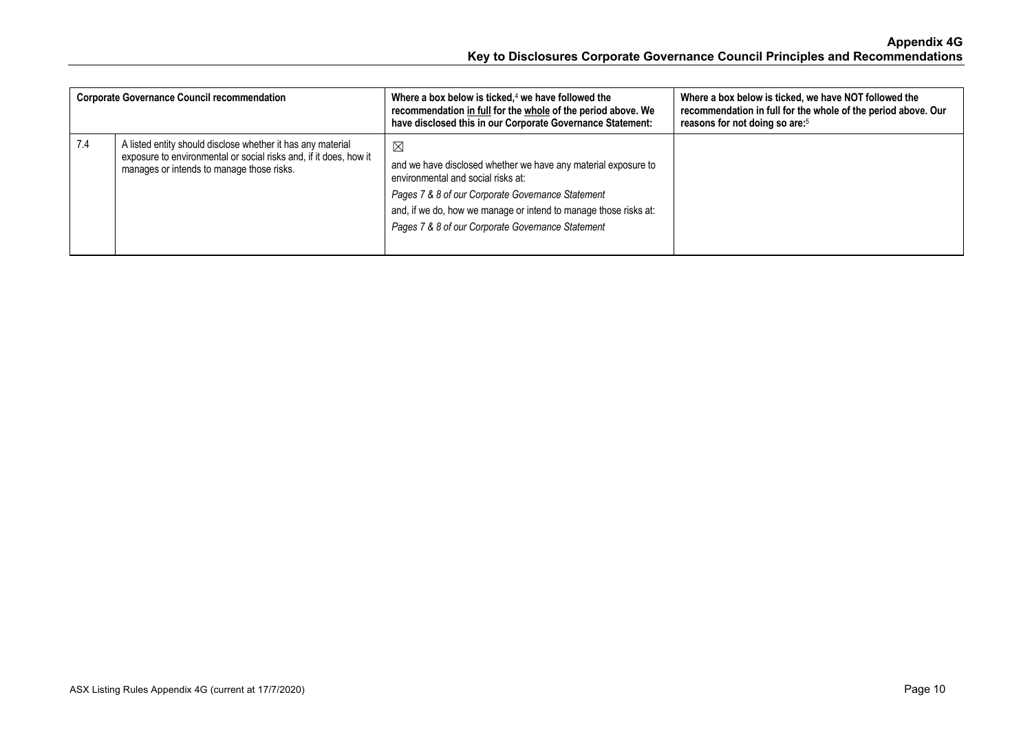| <b>Corporate Governance Council recommendation</b> |                                                                                                                                                                               | Where a box below is ticked, $4$ we have followed the<br>recommendation in full for the whole of the period above. We<br>have disclosed this in our Corporate Governance Statement:                                                                                                     | Where a box below is ticked, we have NOT followed the<br>recommendation in full for the whole of the period above. Our<br>reasons for not doing so are: <sup>5</sup> |
|----------------------------------------------------|-------------------------------------------------------------------------------------------------------------------------------------------------------------------------------|-----------------------------------------------------------------------------------------------------------------------------------------------------------------------------------------------------------------------------------------------------------------------------------------|----------------------------------------------------------------------------------------------------------------------------------------------------------------------|
| 7.4                                                | A listed entity should disclose whether it has any material<br>exposure to environmental or social risks and, if it does, how it<br>manages or intends to manage those risks. | ⊠<br>and we have disclosed whether we have any material exposure to<br>environmental and social risks at:<br>Pages 7 & 8 of our Corporate Governance Statement<br>and, if we do, how we manage or intend to manage those risks at:<br>Pages 7 & 8 of our Corporate Governance Statement |                                                                                                                                                                      |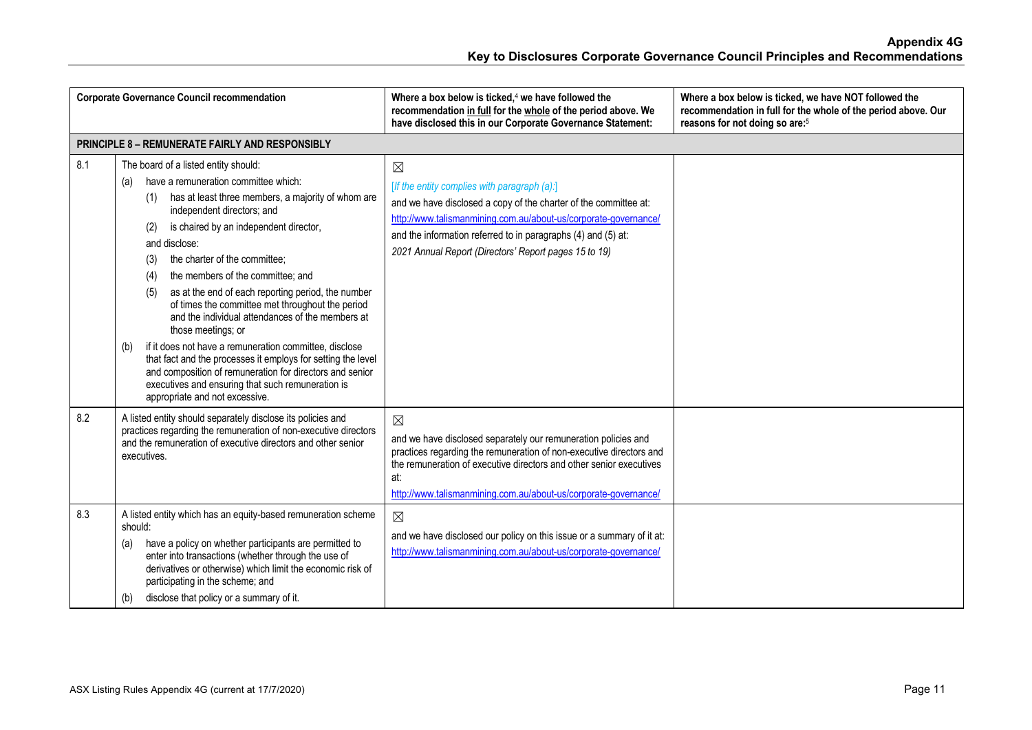| <b>Corporate Governance Council recommendation</b> |                                                                                                                                                                                                                                                                                                                                                                                                                                                                                                                                                                                                                                                                                                                                                                                                                     | Where a box below is ticked, $4$ we have followed the<br>recommendation in full for the whole of the period above. We<br>have disclosed this in our Corporate Governance Statement:                                                                                                                                          | Where a box below is ticked, we have NOT followed the<br>recommendation in full for the whole of the period above. Our<br>reasons for not doing so are: <sup>5</sup> |
|----------------------------------------------------|---------------------------------------------------------------------------------------------------------------------------------------------------------------------------------------------------------------------------------------------------------------------------------------------------------------------------------------------------------------------------------------------------------------------------------------------------------------------------------------------------------------------------------------------------------------------------------------------------------------------------------------------------------------------------------------------------------------------------------------------------------------------------------------------------------------------|------------------------------------------------------------------------------------------------------------------------------------------------------------------------------------------------------------------------------------------------------------------------------------------------------------------------------|----------------------------------------------------------------------------------------------------------------------------------------------------------------------|
|                                                    | <b>PRINCIPLE 8 - REMUNERATE FAIRLY AND RESPONSIBLY</b>                                                                                                                                                                                                                                                                                                                                                                                                                                                                                                                                                                                                                                                                                                                                                              |                                                                                                                                                                                                                                                                                                                              |                                                                                                                                                                      |
| 8.1                                                | The board of a listed entity should:<br>have a remuneration committee which:<br>(a)<br>has at least three members, a majority of whom are<br>(1)<br>independent directors; and<br>is chaired by an independent director,<br>(2)<br>and disclose:<br>the charter of the committee:<br>(3)<br>the members of the committee; and<br>(4)<br>as at the end of each reporting period, the number<br>(5)<br>of times the committee met throughout the period<br>and the individual attendances of the members at<br>those meetings; or<br>if it does not have a remuneration committee, disclose<br>(b)<br>that fact and the processes it employs for setting the level<br>and composition of remuneration for directors and senior<br>executives and ensuring that such remuneration is<br>appropriate and not excessive. | $\boxtimes$<br>[If the entity complies with paragraph (a):]<br>and we have disclosed a copy of the charter of the committee at:<br>http://www.talismanmining.com.au/about-us/corporate-governance/<br>and the information referred to in paragraphs (4) and (5) at:<br>2021 Annual Report (Directors' Report pages 15 to 19) |                                                                                                                                                                      |
| 8.2                                                | A listed entity should separately disclose its policies and<br>practices regarding the remuneration of non-executive directors<br>and the remuneration of executive directors and other senior<br>executives.                                                                                                                                                                                                                                                                                                                                                                                                                                                                                                                                                                                                       | $\boxtimes$<br>and we have disclosed separately our remuneration policies and<br>practices regarding the remuneration of non-executive directors and<br>the remuneration of executive directors and other senior executives<br>at:<br>http://www.talismanmining.com.au/about-us/corporate-governance/                        |                                                                                                                                                                      |
| 8.3                                                | A listed entity which has an equity-based remuneration scheme<br>should:<br>have a policy on whether participants are permitted to<br>(a)<br>enter into transactions (whether through the use of<br>derivatives or otherwise) which limit the economic risk of<br>participating in the scheme; and<br>disclose that policy or a summary of it.<br>(b)                                                                                                                                                                                                                                                                                                                                                                                                                                                               | $\boxtimes$<br>and we have disclosed our policy on this issue or a summary of it at:<br>http://www.talismanmining.com.au/about-us/corporate-governance/                                                                                                                                                                      |                                                                                                                                                                      |